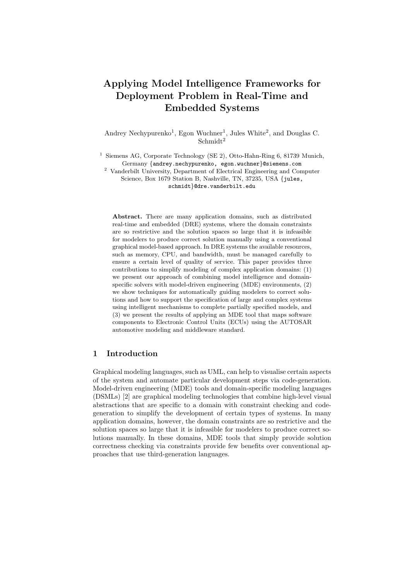# Applying Model Intelligence Frameworks for Deployment Problem in Real-Time and Embedded Systems

Andrey Nechypurenko<sup>1</sup>, Egon Wuchner<sup>1</sup>, Jules White<sup>2</sup>, and Douglas C. Schmidt<sup>2</sup>

<sup>1</sup> Siemens AG, Corporate Technology (SE 2), Otto-Hahn-Ring 6, 81739 Munich, Germany {andrey.nechypurenko, egon.wuchner}@siemens.com

<sup>2</sup> Vanderbilt University, Department of Electrical Engineering and Computer Science, Box 1679 Station B, Nashville, TN, 37235, USA {jules, schmidt}@dre.vanderbilt.edu

Abstract. There are many application domains, such as distributed real-time and embedded (DRE) systems, where the domain constraints are so restrictive and the solution spaces so large that it is infeasible for modelers to produce correct solution manually using a conventional graphical model-based approach. In DRE systems the available resources, such as memory, CPU, and bandwidth, must be managed carefully to ensure a certain level of quality of service. This paper provides three contributions to simplify modeling of complex application domains: (1) we present our approach of combining model intelligence and domainspecific solvers with model-driven engineering (MDE) environments, (2) we show techniques for automatically guiding modelers to correct solutions and how to support the specification of large and complex systems using intelligent mechanisms to complete partially specified models, and (3) we present the results of applying an MDE tool that maps software components to Electronic Control Units (ECUs) using the AUTOSAR automotive modeling and middleware standard.

## 1 Introduction

Graphical modeling languages, such as UML, can help to visualise certain aspects of the system and automate particular development steps via code-generation. Model-driven engineering (MDE) tools and domain-specific modeling languages (DSMLs) [2] are graphical modeling technologies that combine high-level visual abstractions that are specific to a domain with constraint checking and codegeneration to simplify the development of certain types of systems. In many application domains, however, the domain constraints are so restrictive and the solution spaces so large that it is infeasible for modelers to produce correct solutions manually. In these domains, MDE tools that simply provide solution correctness checking via constraints provide few benefits over conventional approaches that use third-generation languages.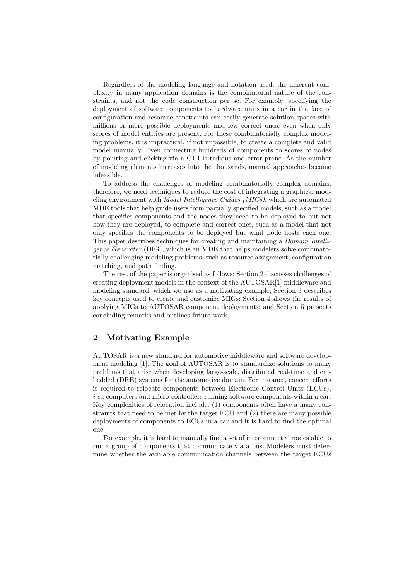Regardless of the modeling language and notation used, the inherent complexity in many application domains is the combinatorial nature of the constraints, and not the code construction per se. For example, specifying the deployment of software components to hardware units in a car in the face of configuration and resource constraints can easily generate solution spaces with millions or more possible deployments and few correct ones, even when only scores of model entities are present. For these combinatorially complex modeling problems, it is impractical, if not impossible, to create a complete and valid model manually. Even connecting hundreds of components to scores of nodes by pointing and clicking via a GUI is tedious and error-prone. As the number of modeling elements increases into the thousands, manual approaches become infeasible.

To address the challenges of modeling combinatorially complex domains, therefore, we need techniques to reduce the cost of integrating a graphical modeling environment with Model Intelligence Guides (MIGs), which are automated MDE tools that help guide users from partially specified models, such as a model that specifies components and the nodes they need to be deployed to but not how they are deployed, to complete and correct ones, such as a model that not only specifies the components to be deployed but what node hosts each one. This paper describes techniques for creating and maintaining a Domain Intelligence Generator (DIG), which is an MDE that helps modelers solve combinatorially challenging modeling problems, such as resource assignment, configuration matching, and path finding.

The rest of the paper is organised as follows: Section 2 discusses challenges of creating deployment models in the context of the AUTOSAR[1] middleware and modeling standard, which we use as a motivating example; Section 3 describes key concepts used to create and customize MIGs; Section 4 shows the results of applying MIGs to AUTOSAR component deployments; and Section 5 presents concluding remarks and outlines future work.

## 2 Motivating Example

AUTOSAR is a new standard for automotive middleware and software development modeling [1]. The goal of AUTOSAR is to standardize solutions to many problems that arise when developing large-scale, distributed real-time and embedded (DRE) systems for the automotive domain. For instance, concert efforts is required to relocate components between Electronic Control Units (ECUs), i.e., computers and micro-controllers running software components within a car. Key complexities of relocation include: (1) components often have a many constraints that need to be met by the target ECU and (2) there are many possible deployments of components to ECUs in a car and it is hard to find the optimal one.

For example, it is hard to manually find a set of interconnected nodes able to run a group of components that communicate via a bus. Modelers must determine whether the available communication channels between the target ECUs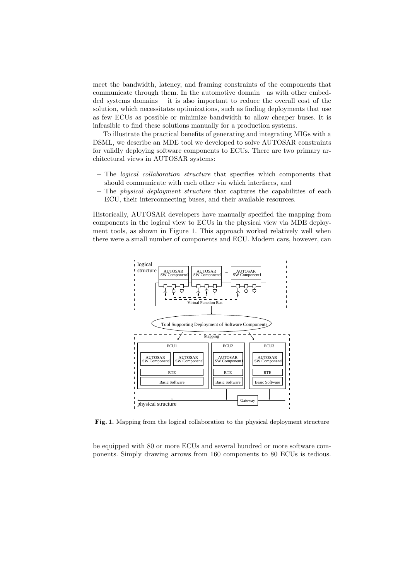meet the bandwidth, latency, and framing constraints of the components that communicate through them. In the automotive domain—as with other embedded systems domains— it is also important to reduce the overall cost of the solution, which necessitates optimizations, such as finding deployments that use as few ECUs as possible or minimize bandwidth to allow cheaper buses. It is infeasible to find these solutions manually for a production systems.

To illustrate the practical benefits of generating and integrating MIGs with a DSML, we describe an MDE tool we developed to solve AUTOSAR constraints for validly deploying software components to ECUs. There are two primary architectural views in AUTOSAR systems:

- The logical collaboration structure that specifies which components that should communicate with each other via which interfaces, and
- The physical deployment structure that captures the capabilities of each ECU, their interconnecting buses, and their available resources.

Historically, AUTOSAR developers have manually specified the mapping from components in the logical view to ECUs in the physical view via MDE deployment tools, as shown in Figure 1. This approach worked relatively well when there were a small number of components and ECU. Modern cars, however, can



Fig. 1. Mapping from the logical collaboration to the physical deployment structure

be equipped with 80 or more ECUs and several hundred or more software components. Simply drawing arrows from 160 components to 80 ECUs is tedious.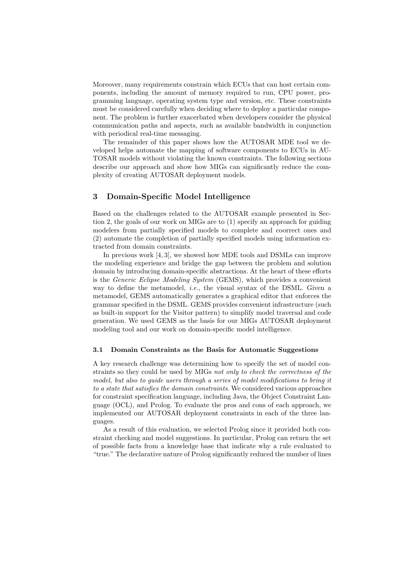Moreover, many requirements constrain which ECUs that can host certain components, including the amount of memory required to run, CPU power, programming language, operating system type and version, etc. These constraints must be considered carefully when deciding where to deploy a particular component. The problem is further exacerbated when developers consider the physical communication paths and aspects, such as available bandwidth in conjunction with periodical real-time messaging.

The remainder of this paper shows how the AUTOSAR MDE tool we developed helps automate the mapping of software components to ECUs in AU-TOSAR models without violating the known constraints. The following sections describe our approach and show how MIGs can significantly reduce the complexity of creating AUTOSAR deployment models.

## 3 Domain-Specific Model Intelligence

Based on the challenges related to the AUTOSAR example presented in Section 2, the goals of our work on MIGs are to (1) specify an approach for guiding modelers from partially specified models to complete and coorrect ones and (2) automate the completion of partially specified models using information extracted from domain constraints.

In previous work [4, 3], we showed how MDE tools and DSMLs can improve the modeling experience and bridge the gap between the problem and solution domain by introducing domain-specific abstractions. At the heart of these efforts is the Generic Eclipse Modeling System (GEMS), which provides a convenient way to define the metamodel, *i.e.*, the visual syntax of the DSML. Given a metamodel, GEMS automatically generates a graphical editor that enforces the grammar specified in the DSML. GEMS provides convenient infrastructure (such as built-in support for the Visitor pattern) to simplify model traversal and code generation. We used GEMS as the basis for our MIGs AUTOSAR deployment modeling tool and our work on domain-specific model intelligence.

## 3.1 Domain Constraints as the Basis for Automatic Suggestions

A key research challenge was determining how to specify the set of model constraints so they could be used by MIGs not only to check the correctness of the model, but also to guide users through a series of model modifications to bring it to a state that satisfies the domain constraints. We considered various approaches for constraint specification language, including Java, the Object Constraint Language (OCL), and Prolog. To evaluate the pros and cons of each approach, we implemented our AUTOSAR deployment constraints in each of the three languages.

As a result of this evaluation, we selected Prolog since it provided both constraint checking and model suggestions. In particular, Prolog can return the set of possible facts from a knowledge base that indicate why a rule evaluated to "true." The declarative nature of Prolog significantly reduced the number of lines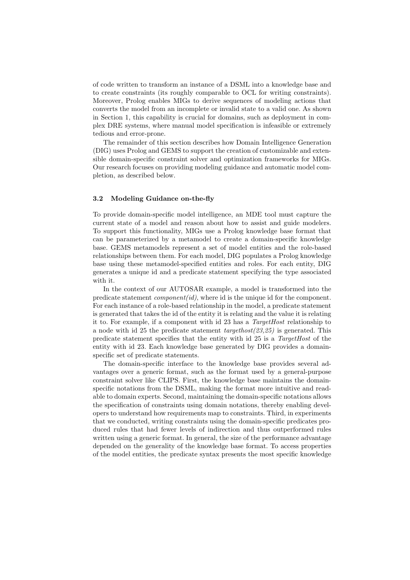of code written to transform an instance of a DSML into a knowledge base and to create constraints (its roughly comparable to OCL for writing constraints). Moreover, Prolog enables MIGs to derive sequences of modeling actions that converts the model from an incomplete or invalid state to a valid one. As shown in Section 1, this capability is crucial for domains, such as deployment in complex DRE systems, where manual model specification is infeasible or extremely tedious and error-prone.

The remainder of this section describes how Domain Intelligence Generation (DIG) uses Prolog and GEMS to support the creation of customizable and extensible domain-specific constraint solver and optimization frameworks for MIGs. Our research focuses on providing modeling guidance and automatic model completion, as described below.

#### 3.2 Modeling Guidance on-the-fly

To provide domain-specific model intelligence, an MDE tool must capture the current state of a model and reason about how to assist and guide modelers. To support this functionality, MIGs use a Prolog knowledge base format that can be parameterized by a metamodel to create a domain-specific knowledge base. GEMS metamodels represent a set of model entities and the role-based relationships between them. For each model, DIG populates a Prolog knowledge base using these metamodel-specified entities and roles. For each entity, DIG generates a unique id and a predicate statement specifying the type associated with it.

In the context of our AUTOSAR example, a model is transformed into the predicate statement  $component(id)$ , where id is the unique id for the component. For each instance of a role-based relationship in the model, a predicate statement is generated that takes the id of the entity it is relating and the value it is relating it to. For example, if a component with id 23 has a TargetHost relationship to a node with id 25 the predicate statement  $targethost(23,25)$  is generated. This predicate statement specifies that the entity with id 25 is a TargetHost of the entity with id 23. Each knowledge base generated by DIG provides a domainspecific set of predicate statements.

The domain-specific interface to the knowledge base provides several advantages over a generic format, such as the format used by a general-purpose constraint solver like CLIPS. First, the knowledge base maintains the domainspecific notations from the DSML, making the format more intuitive and readable to domain experts. Second, maintaining the domain-specific notations allows the specification of constraints using domain notations, thereby enabling developers to understand how requirements map to constraints. Third, in experiments that we conducted, writing constraints using the domain-specific predicates produced rules that had fewer levels of indirection and thus outperformed rules written using a generic format. In general, the size of the performance advantage depended on the generality of the knowledge base format. To access properties of the model entities, the predicate syntax presents the most specific knowledge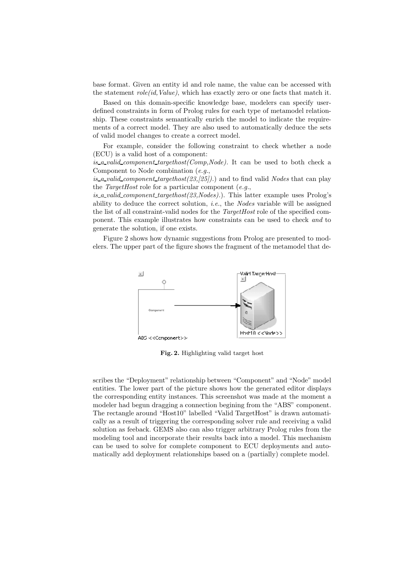base format. Given an entity id and role name, the value can be accessed with the statement  $role(id,Value)$ , which has exactly zero or one facts that match it.

Based on this domain-specific knowledge base, modelers can specify userdefined constraints in form of Prolog rules for each type of metamodel relationship. These constraints semantically enrich the model to indicate the requirements of a correct model. They are also used to automatically deduce the sets of valid model changes to create a correct model.

For example, consider the following constraint to check whether a node (ECU) is a valid host of a component:

is a valid component targethost (Comp, Node). It can be used to both check a Component to Node combination (e.g.,

 $is_a$  valid-component\_t are  $\frac{d}{23}$ ,  $\frac{25}{l}$ .) and to find valid *Nodes* that can playthe TargetHost role for a particular component  $(e.g.,$ 

 $is\_a\_valid\_component\_targethost(23,Nodes)$ ). This latter example uses Prolog's ability to deduce the correct solution, *i.e.*, the *Nodes* variable will be assigned the list of all constraint-valid nodes for the TargetHost role of the specified component. This example illustrates how constraints can be used to check and to generate the solution, if one exists.

Figure 2 shows how dynamic suggestions from Prolog are presented to modelers. The upper part of the figure shows the fragment of the metamodel that de-



Fig. 2. Highlighting valid target host

scribes the "Deployment" relationship between "Component" and "Node" model entities. The lower part of the picture shows how the generated editor displays the corresponding entity instances. This screenshot was made at the moment a modeler had begun dragging a connection begining from the "ABS" component. The rectangle around "Host10" labelled "Valid TargetHost" is drawn automatically as a result of triggering the corresponding solver rule and receiving a valid solution as feeback. GEMS also can also trigger arbitrary Prolog rules from the modeling tool and incorporate their results back into a model. This mechanism can be used to solve for complete component to ECU deployments and automatically add deployment relationships based on a (partially) complete model.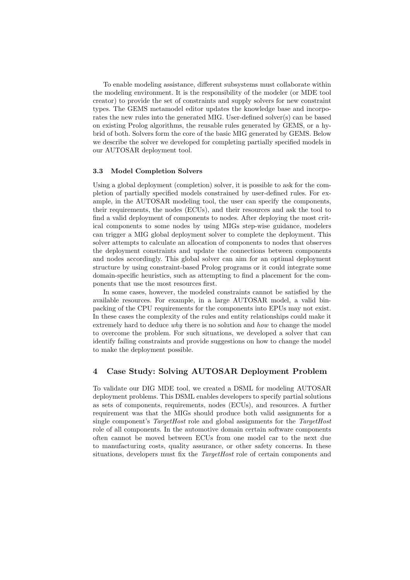To enable modeling assistance, different subsystems must collaborate within the modeling environment. It is the responsibility of the modeler (or MDE tool creator) to provide the set of constraints and supply solvers for new constraint types. The GEMS metamodel editor updates the knowledge base and incorporates the new rules into the generated MIG. User-defined solver(s) can be based on existing Prolog algorithms, the reusable rules generated by GEMS, or a hybrid of both. Solvers form the core of the basic MIG generated by GEMS. Below we describe the solver we developed for completing partially specified models in our AUTOSAR deployment tool.

#### 3.3 Model Completion Solvers

Using a global deployment (completion) solver, it is possible to ask for the completion of partially specified models constrained by user-defined rules. For example, in the AUTOSAR modeling tool, the user can specify the components, their requirements, the nodes (ECUs), and their resources and ask the tool to find a valid deployment of components to nodes. After deploying the most critical components to some nodes by using MIGs step-wise guidance, modelers can trigger a MIG global deployment solver to complete the deployment. This solver attempts to calculate an allocation of components to nodes that observes the deployment constraints and update the connections between components and nodes accordingly. This global solver can aim for an optimal deployment structure by using constraint-based Prolog programs or it could integrate some domain-specific heuristics, such as attempting to find a placement for the components that use the most resources first.

In some cases, however, the modeled constraints cannot be satisfied by the available resources. For example, in a large AUTOSAR model, a valid binpacking of the CPU requirements for the components into EPUs may not exist. In these cases the complexity of the rules and entity relationships could make it extremely hard to deduce why there is no solution and how to change the model to overcome the problem. For such situations, we developed a solver that can identify failing constraints and provide suggestions on how to change the model to make the deployment possible.

## 4 Case Study: Solving AUTOSAR Deployment Problem

To validate our DIG MDE tool, we created a DSML for modeling AUTOSAR deployment problems. This DSML enables developers to specify partial solutions as sets of components, requirements, nodes (ECUs), and resources. A further requirement was that the MIGs should produce both valid assignments for a single component's *TargetHost* role and global assignments for the *TargetHost* role of all components. In the automotive domain certain software components often cannot be moved between ECUs from one model car to the next due to manufacturing costs, quality assurance, or other safety concerns. In these situations, developers must fix the *TargetHost* role of certain components and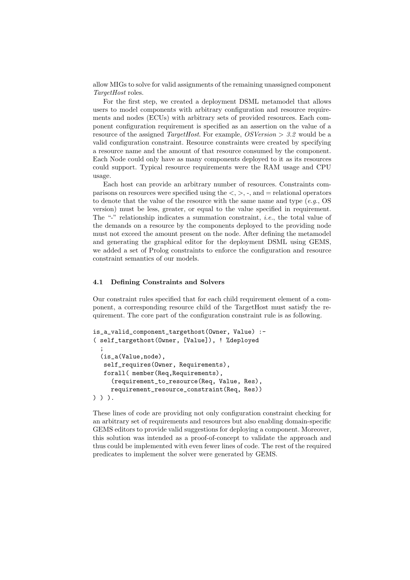allow MIGs to solve for valid assignments of the remaining unassigned component TargetHost roles.

For the first step, we created a deployment DSML metamodel that allows users to model components with arbitrary configuration and resource requirements and nodes (ECUs) with arbitrary sets of provided resources. Each component configuration requirement is specified as an assertion on the value of a resource of the assigned *TargetHost*. For example,  $OSVersion > 3.2$  would be a valid configuration constraint. Resource constraints were created by specifying a resource name and the amount of that resource consumed by the component. Each Node could only have as many components deployed to it as its resources could support. Typical resource requirements were the RAM usage and CPU usage.

Each host can provide an arbitrary number of resources. Constraints comparisons on resources were specified using the  $\langle \rangle$ ,  $\rangle$ ,  $\eta$ , and  $=$  relational operators to denote that the value of the resource with the same name and type  $(e.g., \text{OS})$ version) must be less, greater, or equal to the value specified in requirement. The "-" relationship indicates a summation constraint, i.e., the total value of the demands on a resource by the components deployed to the providing node must not exceed the amount present on the node. After defining the metamodel and generating the graphical editor for the deployment DSML using GEMS, we added a set of Prolog constraints to enforce the configuration and resource constraint semantics of our models.

## 4.1 Defining Constraints and Solvers

Our constraint rules specified that for each child requirement element of a component, a corresponding resource child of the TargetHost must satisfy the requirement. The core part of the configuration constraint rule is as following.

```
is_a_valid_component_targethost(Owner, Value) :-
( self_targethost(Owner, [Value]), ! %deployed
  ;
  (is_a(Value,node),
  self_requires(Owner, Requirements),
   forall( member(Req,Requirements),
     (requirement to resource(Req, Value, Res),
     requirement_resource_constraint(Req, Res))
) ) ).
```
These lines of code are providing not only configuration constraint checking for an arbitrary set of requirements and resources but also enabling domain-specific GEMS editors to provide valid suggestions for deploying a component. Moreover, this solution was intended as a proof-of-concept to validate the approach and thus could be implemented with even fewer lines of code. The rest of the required predicates to implement the solver were generated by GEMS.